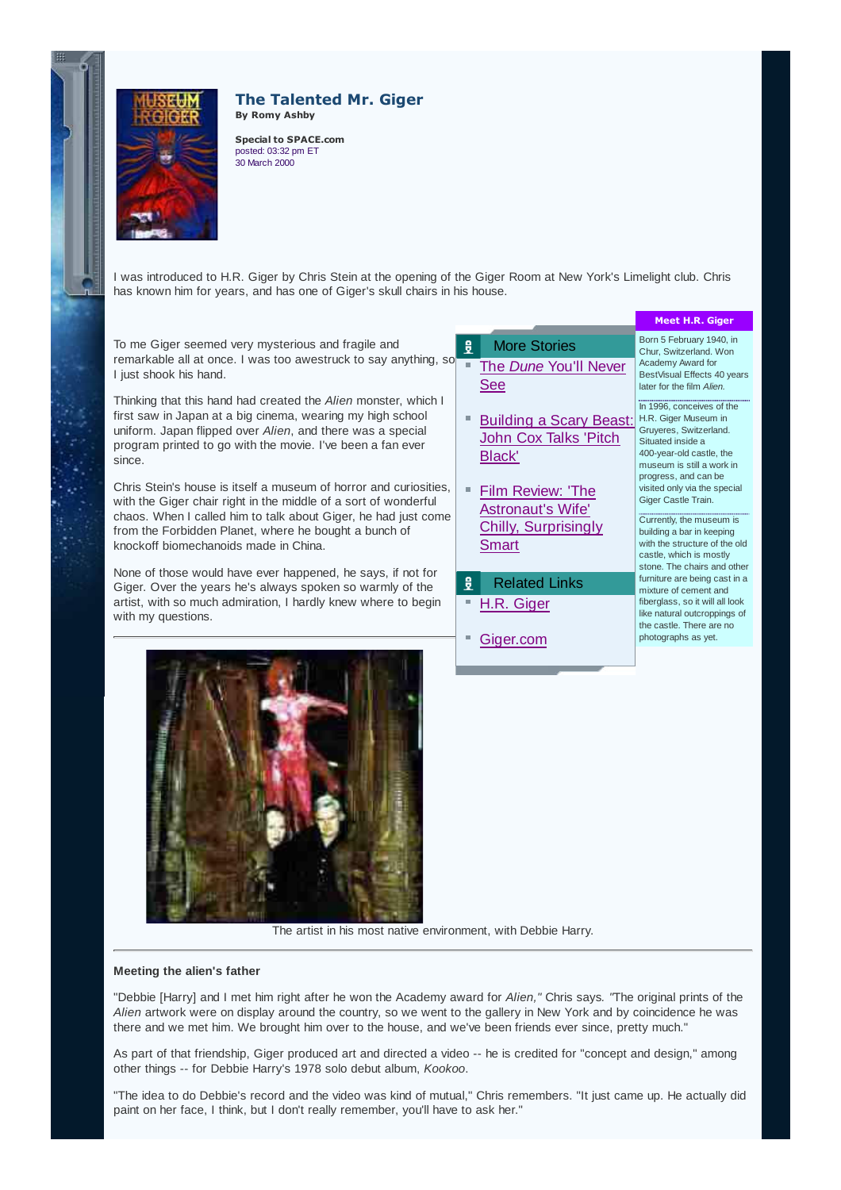

## **The Talented Mr. Giger By Romy Ashby**

**Special to SPACE.com** posted: 03:32 pm ET 30 March 2000

I was introduced to H.R. Giger by Chris Stein at the opening of the Giger Room at New York's Limelight club. Chris has known him for years, and has one of Giger's skull chairs in his house.

To me Giger seemed very mysterious and fragile and remarkable all at once. I was too awestruck to say anything, so I just shook his hand.

Thinking that this hand had created the Alien monster, which I first saw in Japan at a big cinema, wearing my high school uniform. Japan flipped over Alien, and there was a special program printed to go with the movie. I've been a fan ever since.

Chris Stein's house is itself a museum of horror and curiosities, with the Giger chair right in the middle of a sort of wonderful chaos. When I called him to talk about Giger, he had just come from the Forbidden Planet, where he bought a bunch of knockoff biomechanoids made in China.

None of those would have ever happened, he says, if not for Giger. Over the years he's always spoken so warmly of the artist, with so much admiration, I hardly knew where to begin with my questions.



|        |                                                                                       | <b>Meet H.R. Giger</b>                                                                                                                                                                                 |
|--------|---------------------------------------------------------------------------------------|--------------------------------------------------------------------------------------------------------------------------------------------------------------------------------------------------------|
| 힟<br>п | <b>More Stories</b><br>The Dune You'll Never<br>See                                   | Born 5 February 1940, in<br>Chur. Switzerland. Won<br>Academy Award for<br>BestVisual Effects 40 years<br>later for the film Alien.                                                                    |
| ш      | <b>Building a Scary Beast:</b><br><b>John Cox Talks 'Pitch</b><br>Black'              | In 1996, conceives of the<br>H.R. Giger Museum in<br>Gruyeres, Switzerland.<br>Situated inside a<br>400-year-old castle, the<br>museum is still a work in<br>progress, and can be                      |
| П      | Film Review: 'The<br><b>Astronaut's Wife'</b><br><b>Chilly, Surprisingly</b><br>Smart | visited only via the special<br>Giger Castle Train.<br>Currently, the museum is<br>building a bar in keeping<br>with the structure of the old<br>castle, which is mostly<br>stone. The chairs and othe |
| 힟      | <b>Related Links</b>                                                                  | furniture are being cast in a<br>mixture of cement and                                                                                                                                                 |
|        | H.R. Giger<br>Giger.com                                                               | fiberglass, so it will all look<br>like natural outcroppings of<br>the castle. There are no<br>photographs as yet.                                                                                     |
|        |                                                                                       |                                                                                                                                                                                                        |

aars

ther in a

The artist in his most native environment, with Debbie Harry.

## **Meeting the alien's father**

"Debbie [Harry] and I met him right after he won the Academy award for Alien," Chris says. "The original prints of the Alien artwork were on display around the country, so we went to the gallery in New York and by coincidence he was there and we met him. We brought him over to the house, and we've been friends ever since, pretty much."

As part of that friendship, Giger produced art and directed a video -- he is credited for "concept and design," among other things -- for Debbie Harry's 1978 solo debut album, Kookoo.

"The idea to do Debbie's record and the video was kind of mutual," Chris remembers. "It just came up. He actually did paint on her face, I think, but I don't really remember, you'll have to ask her."